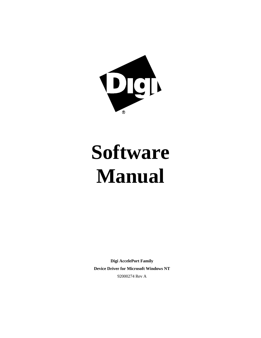

# **Software Manual**

**Digi AccelePort Family Device Driver for Microsoft Windows NT** 92000274 Rev A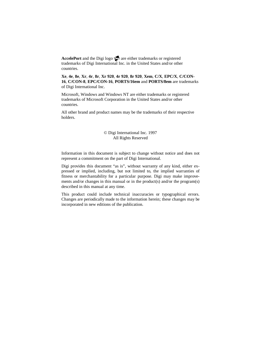AccelePort and the Digi logo **polyton** are either trademarks or registered trademarks of Digi International Inc. in the United States and/or other countries.

**Xe**, **4e**, **8e**, **Xr**, **4r**, **8r**, **Xr 920**, **4r 920**, **8r 920**, **Xem**, **C/X**, **EPC/X**, **C/CON-16**, **C/CON-8**, **EPC/CON-16**, **PORTS/16em** and **PORTS/8em** are trademarks of Digi International Inc.

Microsoft, Windows and Windows NT are either trademarks or registered trademarks of Microsoft Corporation in the United States and/or other countries.

All other brand and product names may be the trademarks of their respective holders.

#### © Digi International Inc. 1997 All Rights Reserved

Information in this document is subject to change without notice and does not represent a commitment on the part of Digi International.

Digi provides this document "as is", without warranty of any kind, either expressed or implied, including, but not limited to, the implied warranties of fitness or merchantability for a particular purpose. Digi may make improvements and/or changes in this manual or in the product(s) and/or the program(s) described in this manual at any time.

This product could include technical inaccuracies or typographical errors. Changes are periodically made to the information herein; these changes may be incorporated in new editions of the publication.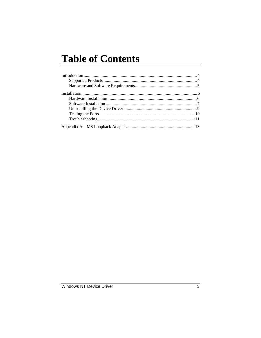## **Table of Contents**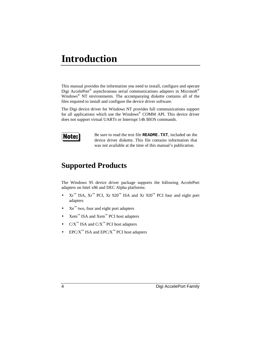## **Introduction**

This manual provides the information you need to install, configure and operate Digi AccelePort<sup>®</sup> asynchronous serial communications adapters in Microsoft<sup>®</sup> Windows® NT environments. The accompanying diskette contains all of the files required to install and configure the device driver software.

The Digi device driver for Windows NT provides full communications support for all applications which use the Windows® COMM API. This device driver does not support virtual UARTs or Interrupt 14h BIOS commands.



Be sure to read the text file **README.TXT**, included on the device driver diskette. This file contains information that was not available at the time of this manual's publication.

## **Supported Products**

The Windows 95 device driver package supports the following AccelePort adapters on Intel x86 and DEC Alpha platforms:

- $\operatorname{Kr}^{\mathbb{N}}$  ISA,  $\operatorname{Kr}^{\mathbb{N}}$  PCI,  $\operatorname{Xr}$  920<sup> $\mathbb{N}$ </sup> ISA and  $\operatorname{Xr}$  920<sup> $\mathbb{N}$ </sup> PCI four and eight port adapters
- $Xe^{TM}$  two, four and eight port adapters
- Xem™ ISA and Xem™ PCI host adapters
- $C/X^{\mathbb{N}}$  ISA and  $C/X^{\mathbb{N}}$  PCI host adapters
- EPC/ $X^{\mathbb{N}}$  ISA and EPC/ $X^{\mathbb{N}}$  PCI host adapters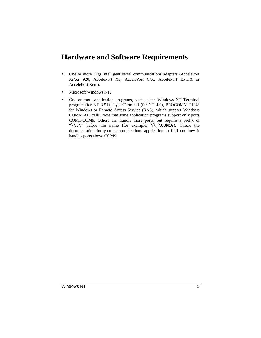## **Hardware and Software Requirements**

- One or more Digi intelligent serial communications adapters (AccelePort Xr/Xr 920, AccelePort Xe, AccelePort C/X, AccelePort EPC/X or AccelePort Xem).
- Microsoft Windows NT.
- One or more application programs, such as the Windows NT Terminal program (for NT 3.51), HyperTerminal (for NT 4.0), PROCOMM PLUS for Windows or Remote Access Service (RAS), which support Windows COMM API calls. Note that some application programs support only ports COM1-COM9. Others can handle more ports, but require a prefix of "**\\.\**" before the name (for example, **\\.\COM10**). Check the documentation for your communications application to find out how it handles ports above COM9.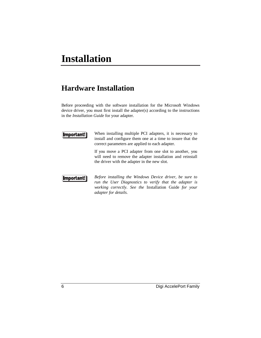## **Hardware Installation**

Before proceeding with the software installation for the Microsoft Windows device driver, you must first install the adapter(s) according to the instructions in the *Installation Guide* for your adapter.



When installing multiple PCI adapters, it is necessary to install and configure them one at a time to insure that the correct parameters are applied to each adapter.

If you move a PCI adapter from one slot to another, you will need to remove the adapter installation and reinstall the driver with the adapter in the new slot.



*Before installing the Windows Device driver, be sure to run the User Diagnostics to verify that the adapter is working correctly. See the* Installation Guide *for your adapter for details.*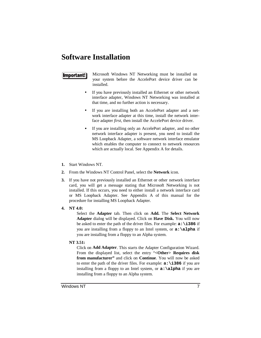## **Software Installation**

### $[$  Important! $]$

Microsoft Windows NT Networking must be installed on your system before the AccelePort device driver can be installed.

- If you have previously installed an Ethernet or other network interface adapter, Windows NT Networking was installed at that time, and no further action is necessary.
- If you are installing both an AccelePort adapter and a network interface adapter at this time, install the network interface adapter *first*, then install the AccelePort device driver.
- If you are installing only an AccelePort adapter, and no other network interface adapter is present, you need to install the MS Loopback Adapter, a software network interface emulator which enables the computer to connect to network resources which are actually local. See Appendix A for details.
- **1.** Start Windows NT.
- **2.** From the Windows NT Control Panel, select the **Network** icon.
- **3.** If you have not previously installed an Ethernet or other network interface card, you will get a message stating that Microsoft Networking is not installed. If this occurs, you need to either install a network interface card or MS Loopback Adapter. See Appendix A of this manual for the procedure for installing MS Loopback Adapter.
- **4. NT 4.0:**

Select the **Adapter** tab. Then click on **Add.** The **Select Network Adapter** dialog will be displayed. Click on **Have Disk.** You will now be asked to enter the path of the driver files. For example: **a:\i386** if you are installing from a floppy to an Intel system, or **a:\alpha** if you are installing from a floppy to an Alpha system.

**NT 3.51:**

Click on **Add Adapter**. This starts the Adapter Configuration Wizard. From the displayed list, select the entry "**<Other> Requires disk from manufacturer"** and click on **Continue**. You will now be asked to enter the path of the driver files. For example: **a:\i386** if you are installing from a floppy to an Intel system, or **a:\alpha** if you are installing from a floppy to an Alpha system.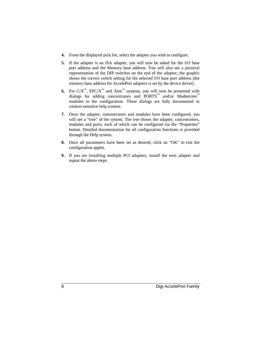- **4.** From the displayed pick list, select the adapter you wish to configure.
- **5.** If the adapter is an ISA adapter, you will now be asked for the I/O base port address and the Memory base address. You will also see a pictorial representation of the DIP switches on the end of the adapter; the graphic shows the correct switch setting for the selected I/O base port address (the memory base address for AccelePort adapters is set by the device driver).
- **6.** For  $C/X^{\mathbb{N}}$ , EPC/X<sup> $\mathbb{N}$ </sup> and Xem<sup>™</sup> systems, you will now be presented with dialogs for adding concentrators and PORTS™ and/or Modem/em™ modules to the configuration. These dialogs are fully documented in context-sensitive help screens.
- **7.** Once the adapter, concentrators and modules have been configured, you will see a "tree" of the system. The tree shows the adapter, concentrators, modules and ports, each of which can be configured via the "Properties" button. Detailed documentation for all configuration functions is provided through the Help system.
- **8.** Once all parameters have been set as desired, click on "OK" to exit the configuration applet.
- **9.** If you are installing multiple PCI adapters, install the next adapter and repeat the above steps.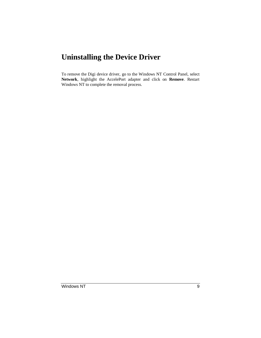## **Uninstalling the Device Driver**

To remove the Digi device driver, go to the Windows NT Control Panel, select **Network**, highlight the AccelePort adapter and click on **Remove**. Restart Windows NT to complete the removal process.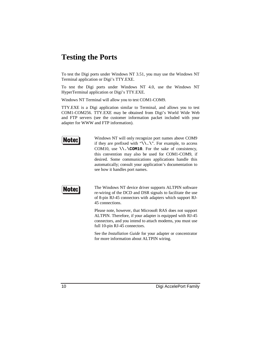## **Testing the Ports**

To test the Digi ports under Windows NT 3.51, you may use the Windows NT Terminal application or Digi's TTY.EXE.

To test the Digi ports under Windows NT 4.0, use the Windows NT HyperTerminal application or Digi's TTY.EXE.

Windows NT Terminal will allow you to test COM1-COM9.

TTY.EXE is a Digi application similar to Terminal, and allows you to test COM1-COM256. TTY.EXE may be obtained from Digi's World Wide Web and FTP servers (see the customer information packet included with your adapter for WWW and FTP information).



Windows NT will only recognize port names above COM9 if they are prefixed with "**\\.\**". For example, to access COM10, use **\\.\COM10**. For the sake of consistency, this convention may also be used for COM1-COM9, if desired. Some communications applications handle this automatically; consult your application's documentation to see how it handles port names.



The Windows NT device driver supports ALTPIN software re-wiring of the DCD and DSR signals to facilitate the use of 8-pin RJ-45 connectors with adapters which support RJ-45 connections.

Please note, however, that Microsoft RAS does not support ALTPIN. Therefore, if your adapter is equipped with RJ-45 connectors, and you intend to attach modems, you must use full 10-pin RJ-45 connectors.

See the *Installation Guide* for your adapter or concentrator for more information about ALTPIN wiring.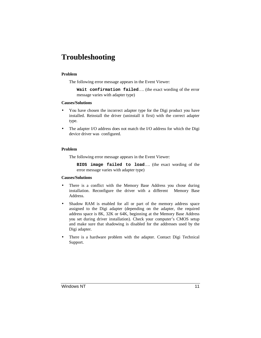## **Troubleshooting**

#### **Problem**

The following error message appears in the Event Viewer:

**Wait confirmation failed**…. (the exact wording of the error message varies with adapter type)

#### **Causes/Solutions**

- You have chosen the incorrect adapter type for the Digi product you have installed. Reinstall the driver (uninstall it first) with the correct adapter type.
- The adapter I/O address does not match the I/O address for which the Digi device driver was configured.

#### **Problem**

The following error message appears in the Event Viewer:

**BIOS image failed to load**…. (the exact wording of the error message varies with adapter type)

#### **Causes/Solutions**

- There is a conflict with the Memory Base Address you chose during installation. Reconfigure the driver with a different Memory Base Address.
- Shadow RAM is enabled for all or part of the memory address space assigned to the Digi adapter (depending on the adapter, the required address space is 8K, 32K or 64K, beginning at the Memory Base Address you set during driver installation). Check your computer's CMOS setup and make sure that shadowing is disabled for the addresses used by the Digi adapter.
- There is a hardware problem with the adapter. Contact Digi Technical Support.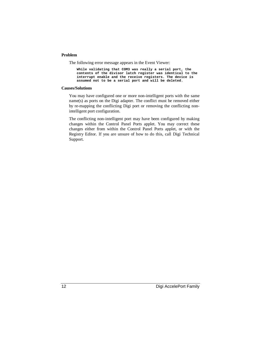#### **Problem**

The following error message appears in the Event Viewer:

```
While validating that COM3 was really a serial port, the
contents of the divisor latch register was identical to the
interrupt enable and the receive registers. The device is
assumed not to be a serial port and will be deleted.
```
#### **Causes/Solutions**

You may have configured one or more non-intelligent ports with the same name(s) as ports on the Digi adapter. The conflict must be removed either by re-mapping the conflicting Digi port or removing the conflicting nonintelligent port configuration.

The conflicting non-intelligent port may have been configured by making changes within the Control Panel Ports applet. You may correct these changes either from within the Control Panel Ports applet, or with the Registry Editor. If you are unsure of how to do this, call Digi Technical Support.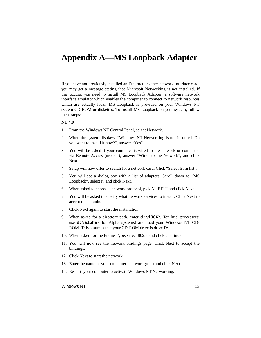## **Appendix A—MS Loopback Adapter**

If you have not previously installed an Ethernet or other network interface card, you may get a message stating that Microsoft Networking is not installed. If this occurs, you need to install MS Loopback Adapter, a software network interface emulator which enables the computer to connect to network resources which are actually local. MS Loopback is provided on your Windows NT system CD-ROM or diskettes. To install MS Loopback on your system, follow these steps:

#### **NT 4.0**

- 1. From the Windows NT Control Panel, select Network.
- 2. When the system displays: "Windows NT Networking is not installed. Do you want to install it now?", answer "Yes".
- 3. You will be asked if your computer is wired to the network or connected via Remote Access (modem); answer "Wired to the Network", and click Next.
- 4. Setup will now offer to search for a network card. Click "Select from list".
- 5. You will see a dialog box with a list of adapters. Scroll down to "MS Loopback", select it, and click Next.
- 6. When asked to choose a network protocol, pick NetBEUI and click Next.
- 7. You will be asked to specify what network services to install. Click Next to accept the defaults.
- 8. Click Next again to start the installation.
- 9. When asked for a directory path, enter **d:\i386\** (for Intel processors; use **d:\alpha\** for Alpha systems) and load your Windows NT CD-ROM. This assumes that your CD-ROM drive is drive D:.
- 10. When asked for the Frame Type, select 802.3 and click Continue.
- 11. You will now see the network bindings page. Click Next to accept the bindings.
- 12. Click Next to start the network.
- 13. Enter the name of your computer and workgroup and click Next.
- 14. Restart your computer to activate Windows NT Networking.